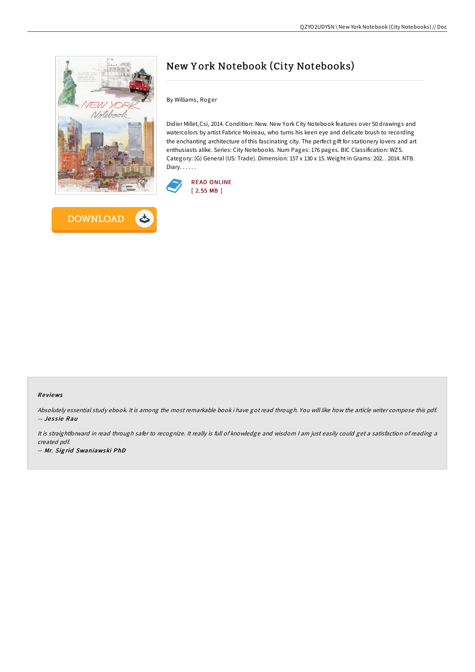



# New Y ork Notebook (City Notebooks)

By Williams, Roger

Didier Millet,Csi, 2014. Condition: New. New York City Notebook features over 50 drawings and watercolors by artist Fabrice Moireau, who turns his keen eye and delicate brush to recording the enchanting architecture of this fascinating city. The perfect gift for stationery lovers and art enthusiasts alike. Series: City Notebooks. Num Pages: 176 pages. BIC Classification: WZS. Category: (G) General (US: Trade). Dimension: 157 x 130 x 15. Weight in Grams: 202. . 2014. NTB. Diary. . . . . .



#### Re views

Absolutely essential study ebook. It is among the most remarkable book i have got read through. You will like how the article writer compose this pdf. -- Jessie Rau

It is straightforward in read through safer to recognize. It really is full of knowledge and wisdom <sup>I</sup> am just easily could get <sup>a</sup> satisfaction of reading <sup>a</sup> created pdf.

-- Mr. Sig rid Swaniawski PhD